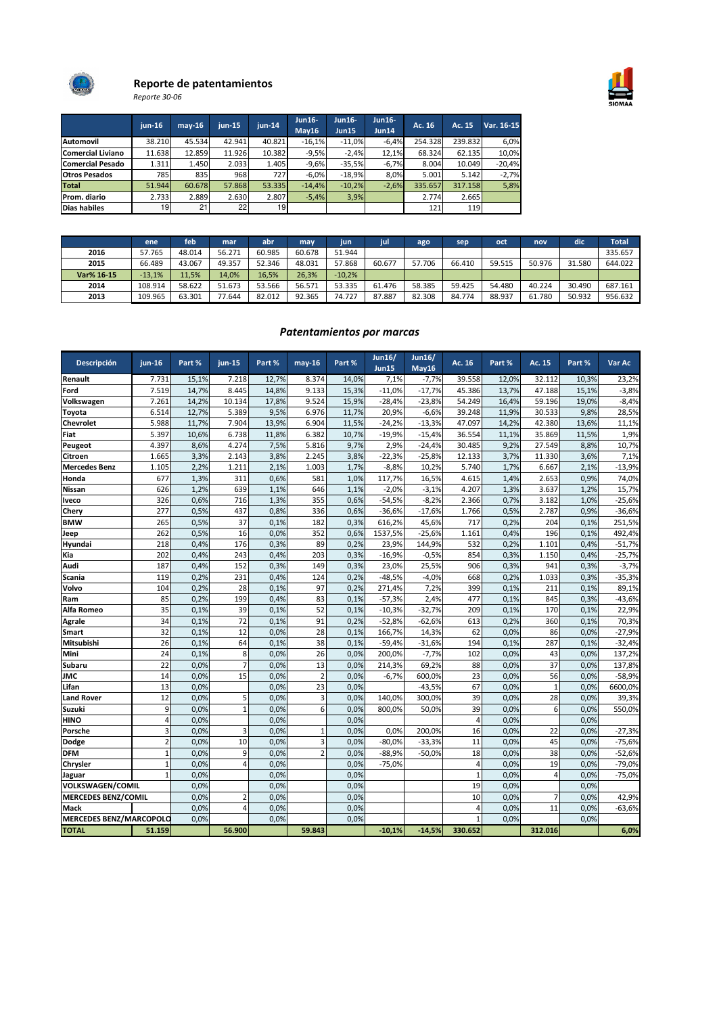

# Reporte de patentamientos

Reporte 30-06

|                          | $i$ un-16       | $may-16$ | iun-15 | $jun-14$ | <b>Jun16-</b><br>May16 | Jun16-<br>Jun15 | <b>Jun16-</b><br><b>Jun14</b> | Ac. 16  | Ac. 15  | Var. 16-15 |
|--------------------------|-----------------|----------|--------|----------|------------------------|-----------------|-------------------------------|---------|---------|------------|
| <b>Automovil</b>         | 38.210          | 45.534   | 42.941 | 40.821   | $-16,1%$               | $-11,0%$        | $-6.4%$                       | 254.328 | 239.832 | 6,0%       |
| <b>Comercial Liviano</b> | 11.638          | 12.859   | 11.926 | 10.382   | $-9,5%$                | $-2,4%$         | 12,1%                         | 68.324  | 62.135  | 10,0%      |
| <b>Comercial Pesado</b>  | 1.311           | 1.450    | 2.033  | 1.405    | $-9,6%$                | $-35,5%$        | $-6,7%$                       | 8.004   | 10.049  | $-20,4%$   |
| <b>Otros Pesados</b>     | <b>785</b>      | 835      | 968    | 727I     | $-6.0%$                | $-18.9%$        | 8.0%                          | 5.001   | 5.142   | $-2,7%$    |
| <b>Total</b>             | 51.944          | 60.678   | 57.868 | 53.335   | $-14.4%$               | $-10.2%$        | $-2.6%$                       | 335.657 | 317.158 | 5,8%       |
| Prom. diario             | 2.733           | 2.889    | 2.630  | 2.807    | $-5,4%$                | 3,9%            |                               | 2.774   | 2.665   |            |
| <b>Dias habiles</b>      | 19 <sub>l</sub> | 21       | 22     | 19       |                        |                 |                               | 121     | 119     |            |

|            | ene <sup>'</sup> | feb    | mar    | abr    | may    | jun      | jul    | ago    | sep    | oct    | nov    | dic    | Total   |
|------------|------------------|--------|--------|--------|--------|----------|--------|--------|--------|--------|--------|--------|---------|
| 2016       | 57.765           | 48.014 | 56.271 | 60.985 | 60.678 | 51.944   |        |        |        |        |        |        | 335.657 |
| 2015       | 66.489           | 43.067 | 49.357 | 52.346 | 48.031 | 57.868   | 60.677 | 57.706 | 66.410 | 59.515 | 50.976 | 31.580 | 644.022 |
| Var% 16-15 | $-13,1%$         | 11,5%  | 14,0%  | 16,5%  | 26,3%  | $-10,2%$ |        |        |        |        |        |        |         |
| 2014       | 108.914          | 58.622 | 51.673 | 53.566 | 56.571 | 53.335   | 61.476 | 58.385 | 59.425 | 54.480 | 40.224 | 30.490 | 687.161 |
| 2013       | 109.965          | 63.301 | 77.644 | 82.012 | 92.365 | 74.727   | 87.887 | 82.308 | 84.774 | 88.937 | 61.780 | 50.932 | 956.632 |

# Patentamientos por marcas

| Descripción                    | <b>iun-16</b>   | Part % | $jun-15$       | Part % | $may-16$        | Part % | <b>Jun16/</b><br><b>Jun15</b> | <b>Jun16/</b><br>May16 | Ac. 16         | Part % | Ac. 15         | Part % | Var Ac   |
|--------------------------------|-----------------|--------|----------------|--------|-----------------|--------|-------------------------------|------------------------|----------------|--------|----------------|--------|----------|
| Renault                        | 7.731           | 15,1%  | 7.218          | 12,7%  | 8.374           | 14,0%  | 7,1%                          | $-7,7%$                | 39.558         | 12,0%  | 32.112         | 10,3%  | 23,2%    |
| Ford                           | 7.519           | 14,7%  | 8.445          | 14,8%  | 9.133           | 15,3%  | $-11,0%$                      | $-17,7%$               | 45.386         | 13,7%  | 47.188         | 15,1%  | $-3,8%$  |
| Volkswagen                     | 7.261           | 14,2%  | 10.134         | 17,8%  | 9.524           | 15,9%  | $-28,4%$                      | $-23,8%$               | 54.249         | 16,4%  | 59.196         | 19,0%  | $-8,4%$  |
| Toyota                         | 6.514           | 12,7%  | 5.389          | 9,5%   | 6.976           | 11,7%  | 20,9%                         | $-6,6%$                | 39.248         | 11,9%  | 30.533         | 9,8%   | 28,5%    |
| Chevrolet                      | 5.988           | 11,7%  | 7.904          | 13,9%  | 6.904           | 11,5%  | $-24,2%$                      | $-13,3%$               | 47.097         | 14,2%  | 42.380         | 13,6%  | 11,1%    |
| Fiat                           | 5.397           | 10,6%  | 6.738          | 11,8%  | 6.382           | 10,7%  | $-19,9%$                      | $-15,4%$               | 36.554         | 11,1%  | 35.869         | 11,5%  | 1,9%     |
| Peugeot                        | 4.397           | 8,6%   | 4.274          | 7,5%   | 5.816           | 9,7%   | 2,9%                          | $-24,4%$               | 30.485         | 9,2%   | 27.549         | 8,8%   | 10,7%    |
| Citroen                        | 1.665           | 3,3%   | 2.143          | 3,8%   | 2.245           | 3,8%   | $-22,3%$                      | $-25,8%$               | 12.133         | 3,7%   | 11.330         | 3,6%   | 7,1%     |
| <b>Mercedes Benz</b>           | 1.105           | 2,2%   | 1.211          | 2,1%   | 1.003           | 1,7%   | $-8,8%$                       | 10,2%                  | 5.740          | 1,7%   | 6.667          | 2,1%   | $-13,9%$ |
| Honda                          | 677             | 1,3%   | 311            | 0,6%   | 581             | 1,0%   | 117,7%                        | 16,5%                  | 4.615          | 1,4%   | 2.653          | 0,9%   | 74,0%    |
| Nissan                         | 626             | 1,2%   | 639            | 1,1%   | 646             | 1,1%   | $-2,0%$                       | $-3,1%$                | 4.207          | 1,3%   | 3.637          | 1,2%   | 15,7%    |
| <b>Iveco</b>                   | 326             | 0,6%   | 716            | 1,3%   | 355             | 0,6%   | $-54,5%$                      | $-8,2%$                | 2.366          | 0,7%   | 3.182          | 1,0%   | $-25,6%$ |
| Chery                          | 277             | 0,5%   | 437            | 0,8%   | 336             | 0,6%   | $-36,6%$                      | $-17,6%$               | 1.766          | 0,5%   | 2.787          | 0,9%   | $-36,6%$ |
| <b>BMW</b>                     | 265             | 0,5%   | 37             | 0,1%   | 182             | 0,3%   | 616,2%                        | 45,6%                  | 717            | 0,2%   | 204            | 0,1%   | 251,5%   |
| Jeep                           | 262             | 0,5%   | 16             | 0.0%   | 352             | 0,6%   | 1537,5%                       | $-25,6%$               | 1.161          | 0,4%   | 196            | 0,1%   | 492,4%   |
| Hyundai                        | 218             | 0,4%   | 176            | 0,3%   | 89              | 0.2%   | 23,9%                         | 144,9%                 | 532            | 0,2%   | 1.101          | 0,4%   | $-51,7%$ |
| Kia                            | 202             | 0,4%   | 243            | 0,4%   | 203             | 0,3%   | $-16,9%$                      | $-0.5%$                | 854            | 0,3%   | 1.150          | 0,4%   | $-25,7%$ |
| Audi                           | 187             | 0,4%   | 152            | 0,3%   | 149             | 0,3%   | 23,0%                         | 25,5%                  | 906            | 0,3%   | 941            | 0,3%   | $-3,7%$  |
| <b>Scania</b>                  | 119             | 0,2%   | 231            | 0,4%   | 124             | 0,2%   | $-48,5%$                      | $-4,0%$                | 668            | 0,2%   | 1.033          | 0,3%   | $-35,3%$ |
| Volvo                          | 104             | 0,2%   | 28             | 0,1%   | 97              | 0,2%   | 271,4%                        | 7,2%                   | 399            | 0,1%   | 211            | 0,1%   | 89,1%    |
| Ram                            | 85              | 0,2%   | 199            | 0,4%   | 83              | 0,1%   | $-57,3%$                      | 2,4%                   | 477            | 0,1%   | 845            | 0,3%   | $-43,6%$ |
| Alfa Romeo                     | 35              | 0,1%   | 39             | 0,1%   | 52              | 0,1%   | $-10,3%$                      | $-32,7%$               | 209            | 0,1%   | 170            | 0,1%   | 22,9%    |
| <b>Agrale</b>                  | 34              | 0,1%   | 72             | 0,1%   | 91              | 0,2%   | $-52,8%$                      | $-62,6%$               | 613            | 0,2%   | 360            | 0,1%   | 70,3%    |
| Smart                          | 32              | 0.1%   | 12             | 0.0%   | 28              | 0,1%   | 166,7%                        | 14,3%                  | 62             | 0,0%   | 86             | 0,0%   | $-27,9%$ |
| Mitsubishi                     | 26              | 0,1%   | 64             | 0,1%   | 38              | 0,1%   | $-59,4%$                      | $-31,6%$               | 194            | 0,1%   | 287            | 0,1%   | $-32,4%$ |
| Mini                           | $\overline{24}$ | 0.1%   | 8              | 0.0%   | $\overline{26}$ | 0.0%   | 200,0%                        | $-7,7%$                | 102            | 0.0%   | 43             | 0.0%   | 137,2%   |
| Subaru                         | 22              | 0,0%   | $\overline{7}$ | 0,0%   | 13              | 0,0%   | 214,3%                        | 69,2%                  | 88             | 0,0%   | 37             | 0,0%   | 137,8%   |
| JMC                            | 14              | 0,0%   | 15             | 0,0%   | $\overline{2}$  | 0,0%   | $-6,7%$                       | 600,0%                 | 23             | 0,0%   | 56             | 0.0%   | $-58,9%$ |
| Lifan                          | 13              | 0.0%   |                | 0.0%   | 23              | 0.0%   |                               | $-43,5%$               | 67             | 0.0%   | $\mathbf{1}$   | 0,0%   | 6600,0%  |
| <b>Land Rover</b>              | 12              | 0,0%   | 5              | 0.0%   | 3               | 0.0%   | 140,0%                        | 300,0%                 | 39             | 0.0%   | 28             | 0,0%   | 39,3%    |
| Suzuki                         | 9               | 0,0%   | $\mathbf{1}$   | 0.0%   | 6               | 0,0%   | 800,0%                        | 50,0%                  | 39             | 0.0%   | 6              | 0,0%   | 550,0%   |
| <b>HINO</b>                    | $\overline{4}$  | 0,0%   |                | 0.0%   |                 | 0,0%   |                               |                        | $\overline{4}$ | 0.0%   |                | 0,0%   |          |
| Porsche                        | 3               | 0.0%   | $\overline{3}$ | 0.0%   | $\mathbf{1}$    | 0,0%   | 0,0%                          | 200,0%                 | 16             | 0.0%   | 22             | 0,0%   | $-27,3%$ |
| Dodge                          | $\overline{2}$  | 0,0%   | 10             | 0.0%   | 3               | 0,0%   | $-80,0%$                      | $-33,3%$               | 11             | 0,0%   | 45             | 0,0%   | $-75,6%$ |
| <b>DFM</b>                     | $\mathbf{1}$    | 0.0%   | 9              | 0.0%   | $\overline{2}$  | 0.0%   | $-88,9%$                      | $-50,0%$               | 18             | 0.0%   | 38             | 0,0%   | $-52,6%$ |
| Chrysler                       | $\overline{1}$  | 0,0%   | $\overline{4}$ | 0,0%   |                 | 0,0%   | $-75,0%$                      |                        | $\Delta$       | 0.0%   | 19             | 0,0%   | $-79,0%$ |
| Jaguar                         | $\mathbf{1}$    | 0,0%   |                | 0,0%   |                 | 0,0%   |                               |                        | $\overline{1}$ | 0,0%   | $\overline{4}$ | 0,0%   | $-75,0%$ |
| <b>VOLKSWAGEN/COMIL</b>        |                 | 0,0%   |                | 0.0%   |                 | 0,0%   |                               |                        | 19             | 0.0%   |                | 0,0%   |          |
| <b>MERCEDES BENZ/COMIL</b>     |                 | 0,0%   | $\overline{2}$ | 0.0%   |                 | 0.0%   |                               |                        | 10             | 0.0%   | 7              | 0,0%   | 42,9%    |
| Mack                           |                 | 0,0%   | $\overline{A}$ | 0,0%   |                 | 0,0%   |                               |                        | 4              | 0,0%   | 11             | 0,0%   | $-63,6%$ |
| <b>MERCEDES BENZ/MARCOPOLO</b> |                 | 0.0%   |                | 0,0%   |                 | 0,0%   |                               |                        | $\overline{1}$ | 0,0%   |                | 0,0%   |          |
| <b>TOTAL</b>                   | 51.159          |        | 56.900         |        | 59.843          |        | $-10,1%$                      | $-14,5%$               | 330.652        |        | 312.016        |        | 6,0%     |

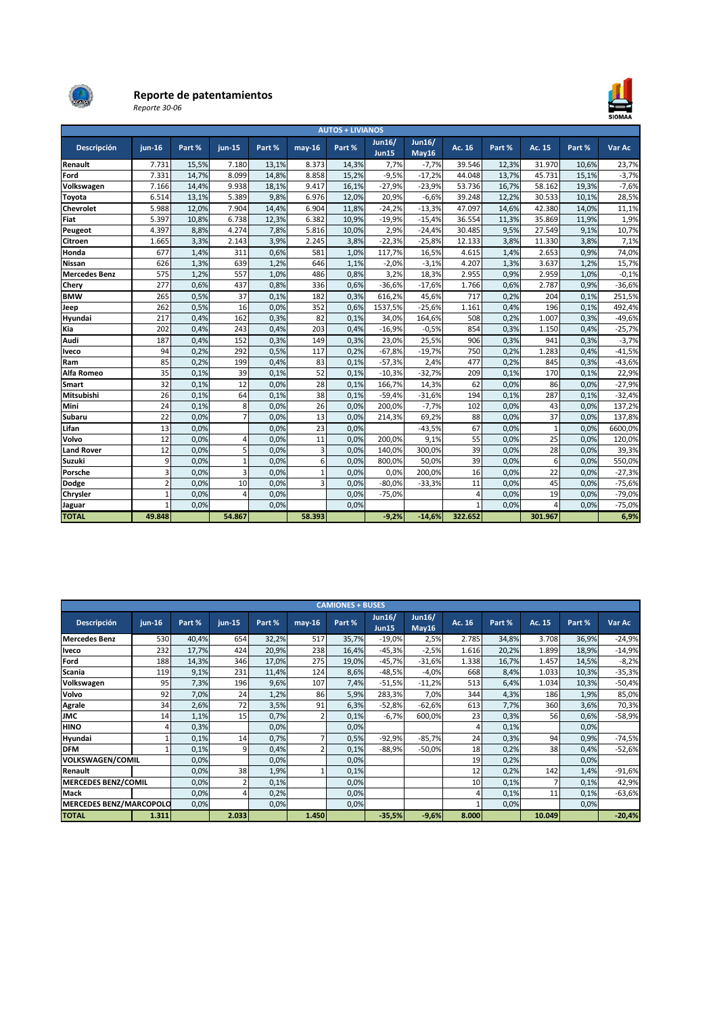

# Reporte de patentamientos

Reporte 30-06



| <b>AUTOS + LIVIANOS</b> |                |        |                |        |              |        |                               |                        |          |        |              |        |          |
|-------------------------|----------------|--------|----------------|--------|--------------|--------|-------------------------------|------------------------|----------|--------|--------------|--------|----------|
| Descripción             | $jun-16$       | Part % | jun-15         | Part % | $may-16$     | Part % | <b>Jun16/</b><br><b>Jun15</b> | <b>Jun16/</b><br>May16 | Ac. 16   | Part % | Ac. 15       | Part % | Var Ac   |
| Renault                 | 7.731          | 15,5%  | 7.180          | 13,1%  | 8.373        | 14,3%  | 7,7%                          | $-7,7%$                | 39.546   | 12,3%  | 31.970       | 10,6%  | 23,7%    |
| Ford                    | 7.331          | 14,7%  | 8.099          | 14,8%  | 8.858        | 15,2%  | $-9,5%$                       | $-17,2%$               | 44.048   | 13,7%  | 45.731       | 15,1%  | $-3,7%$  |
| Volkswagen              | 7.166          | 14,4%  | 9.938          | 18.1%  | 9.417        | 16.1%  | $-27,9%$                      | $-23,9%$               | 53.736   | 16,7%  | 58.162       | 19,3%  | $-7,6%$  |
| <b>Toyota</b>           | 6.514          | 13,1%  | 5.389          | 9,8%   | 6.976        | 12,0%  | 20,9%                         | $-6,6%$                | 39.248   | 12,2%  | 30.533       | 10,1%  | 28,5%    |
| <b>Chevrolet</b>        | 5.988          | 12,0%  | 7.904          | 14,4%  | 6.904        | 11,8%  | $-24,2%$                      | $-13,3%$               | 47.097   | 14,6%  | 42.380       | 14,0%  | 11,1%    |
| Fiat                    | 5.397          | 10,8%  | 6.738          | 12,3%  | 6.382        | 10,9%  | $-19,9%$                      | $-15,4%$               | 36.554   | 11,3%  | 35.869       | 11,9%  | 1,9%     |
| Peugeot                 | 4.397          | 8,8%   | 4.274          | 7,8%   | 5.816        | 10,0%  | 2,9%                          | $-24,4%$               | 30.485   | 9,5%   | 27.549       | 9,1%   | 10,7%    |
| <b>Citroen</b>          | 1.665          | 3,3%   | 2.143          | 3,9%   | 2.245        | 3,8%   | $-22,3%$                      | $-25,8%$               | 12.133   | 3,8%   | 11.330       | 3,8%   | 7,1%     |
| Honda                   | 677            | 1,4%   | 311            | 0.6%   | 581          | 1,0%   | 117,7%                        | 16,5%                  | 4.615    | 1,4%   | 2.653        | 0,9%   | 74,0%    |
| <b>Nissan</b>           | 626            | 1,3%   | 639            | 1,2%   | 646          | 1,1%   | $-2,0%$                       | $-3,1%$                | 4.207    | 1,3%   | 3.637        | 1,2%   | 15,7%    |
| <b>Mercedes Benz</b>    | 575            | 1,2%   | 557            | 1,0%   | 486          | 0,8%   | 3,2%                          | 18,3%                  | 2.955    | 0,9%   | 2.959        | 1,0%   | $-0,1%$  |
| Chery                   | 277            | 0,6%   | 437            | 0,8%   | 336          | 0,6%   | $-36,6%$                      | $-17,6%$               | 1.766    | 0,6%   | 2.787        | 0,9%   | $-36,6%$ |
| <b>BMW</b>              | 265            | 0.5%   | 37             | 0.1%   | 182          | 0.3%   | 616,2%                        | 45,6%                  | 717      | 0,2%   | 204          | 0.1%   | 251,5%   |
| Jeep                    | 262            | 0,5%   | 16             | 0,0%   | 352          | 0,6%   | 1537,5%                       | $-25,6%$               | 1.161    | 0,4%   | 196          | 0,1%   | 492,4%   |
| Hyundai                 | 217            | 0,4%   | 162            | 0,3%   | 82           | 0,1%   | 34,0%                         | 164,6%                 | 508      | 0,2%   | 1.007        | 0,3%   | $-49,6%$ |
| Kia                     | 202            | 0,4%   | 243            | 0,4%   | 203          | 0,4%   | $-16,9%$                      | $-0.5%$                | 854      | 0,3%   | 1.150        | 0,4%   | $-25,7%$ |
| Audi                    | 187            | 0,4%   | 152            | 0,3%   | 149          | 0,3%   | 23,0%                         | 25,5%                  | 906      | 0,3%   | 941          | 0,3%   | $-3,7%$  |
| Iveco                   | 94             | 0,2%   | 292            | 0,5%   | 117          | 0,2%   | $-67,8%$                      | $-19,7%$               | 750      | 0,2%   | 1.283        | 0,4%   | $-41,5%$ |
| Ram                     | 85             | 0,2%   | 199            | 0,4%   | 83           | 0,1%   | $-57,3%$                      | 2,4%                   | 477      | 0,2%   | 845          | 0,3%   | $-43,6%$ |
| Alfa Romeo              | 35             | 0.1%   | 39             | 0.1%   | 52           | 0.1%   | $-10.3%$                      | $-32,7%$               | 209      | 0.1%   | 170          | 0.1%   | 22,9%    |
| Smart                   | 32             | 0.1%   | 12             | 0.0%   | 28           | 0.1%   | 166.7%                        | 14,3%                  | 62       | 0.0%   | 86           | 0.0%   | $-27,9%$ |
| Mitsubishi              | 26             | 0,1%   | 64             | 0,1%   | 38           | 0.1%   | $-59,4%$                      | $-31,6%$               | 194      | 0.1%   | 287          | 0,1%   | $-32,4%$ |
| Mini                    | 24             | 0,1%   | 8              | 0,0%   | 26           | 0.0%   | 200,0%                        | $-7,7%$                | 102      | 0.0%   | 43           | 0,0%   | 137,2%   |
| Subaru                  | 22             | 0,0%   | $\overline{7}$ | 0,0%   | 13           | 0.0%   | 214,3%                        | 69,2%                  | 88       | 0.0%   | 37           | 0,0%   | 137,8%   |
| Lifan                   | 13             | 0,0%   |                | 0,0%   | 23           | 0.0%   |                               | $-43,5%$               | 67       | 0,0%   | $\mathbf{1}$ | 0,0%   | 6600,0%  |
| Volvo                   | 12             | 0,0%   | $\overline{A}$ | 0,0%   | 11           | 0.0%   | 200,0%                        | 9,1%                   | 55       | 0,0%   | 25           | 0,0%   | 120,0%   |
| <b>Land Rover</b>       | 12             | 0,0%   | 5              | 0,0%   | 3            | 0.0%   | 140,0%                        | 300,0%                 | 39       | 0,0%   | 28           | 0,0%   | 39,3%    |
| Suzuki                  | 9              | 0,0%   | $\mathbf{1}$   | 0,0%   | 6            | 0.0%   | 800,0%                        | 50,0%                  | 39       | 0.0%   | 6            | 0,0%   | 550,0%   |
| Porsche                 | 3              | 0,0%   | $\overline{3}$ | 0.0%   | $\mathbf{1}$ | 0.0%   | 0,0%                          | 200,0%                 | 16       | 0.0%   | 22           | 0,0%   | $-27,3%$ |
| Dodge                   | $\overline{2}$ | 0,0%   | 10             | 0,0%   | 3            | 0.0%   | $-80,0%$                      | $-33,3%$               | 11       | 0,0%   | 45           | 0,0%   | $-75,6%$ |
| Chrysler                | $\mathbf{1}$   | 0,0%   | $\overline{a}$ | 0,0%   |              | 0.0%   | $-75,0%$                      |                        | $\Delta$ | 0,0%   | 19           | 0,0%   | $-79,0%$ |
| Jaguar                  | $\mathbf{1}$   | 0,0%   |                | 0.0%   |              | 0.0%   |                               |                        | 1        | 0,0%   | 4            | 0,0%   | $-75,0%$ |
| <b>TOTAL</b>            | 49.848         |        | 54.867         |        | 58.393       |        | $-9,2%$                       | $-14,6%$               | 322.652  |        | 301.967      |        | 6,9%     |

|                                | <b>CAMIONES + BUSES</b> |        |          |        |          |        |                               |                        |        |        |        |        |          |  |
|--------------------------------|-------------------------|--------|----------|--------|----------|--------|-------------------------------|------------------------|--------|--------|--------|--------|----------|--|
| Descripción                    | $jun-16$                | Part % | $jun-15$ | Part % | $may-16$ | Part % | <b>Jun16/</b><br><b>Jun15</b> | <b>Jun16/</b><br>May16 | Ac. 16 | Part % | Ac. 15 | Part % | Var Ac   |  |
| <b>Mercedes Benz</b>           | 530                     | 40,4%  | 654      | 32,2%  | 517      | 35,7%  | $-19,0%$                      | 2,5%                   | 2.785  | 34,8%  | 3.708  | 36,9%  | $-24,9%$ |  |
| <b>Iveco</b>                   | 232                     | 17,7%  | 424      | 20,9%  | 238      | 16,4%  | $-45,3%$                      | $-2,5%$                | 1.616  | 20,2%  | 1.899  | 18,9%  | $-14,9%$ |  |
| Ford                           | 188                     | 14,3%  | 346      | 17,0%  | 275      | 19,0%  | $-45,7%$                      | $-31,6%$               | 1.338  | 16,7%  | 1.457  | 14,5%  | $-8,2%$  |  |
| Scania                         | 119                     | 9,1%   | 231      | 11,4%  | 124      | 8,6%   | $-48,5%$                      | $-4,0%$                | 668    | 8,4%   | 1.033  | 10,3%  | $-35,3%$ |  |
| Volkswagen                     | 95                      | 7,3%   | 196      | 9,6%   | 107      | 7,4%   | $-51,5%$                      | $-11,2%$               | 513    | 6,4%   | 1.034  | 10,3%  | $-50,4%$ |  |
| Volvo                          | 92                      | 7,0%   | 24       | 1,2%   | 86       | 5,9%   | 283,3%                        | 7,0%                   | 344    | 4,3%   | 186    | 1,9%   | 85,0%    |  |
| <b>Agrale</b>                  | 34                      | 2,6%   | 72       | 3,5%   | 91       | 6,3%   | $-52,8%$                      | $-62,6%$               | 613    | 7,7%   | 360    | 3,6%   | 70,3%    |  |
| <b>JMC</b>                     | 14                      | 1,1%   | 15       | 0,7%   |          | 0,1%   | $-6,7%$                       | 600,0%                 | 23     | 0,3%   | 56     | 0,6%   | $-58,9%$ |  |
| <b>HINO</b>                    |                         | 0,3%   |          | 0.0%   |          | 0,0%   |                               |                        |        | 0,1%   |        | 0,0%   |          |  |
| Hyundai                        |                         | 0,1%   | 14       | 0,7%   |          | 0,5%   | $-92,9%$                      | $-85,7%$               | 24     | 0,3%   | 94     | 0,9%   | $-74,5%$ |  |
| <b>DFM</b>                     |                         | 0,1%   | 9        | 0,4%   |          | 0,1%   | $-88,9%$                      | $-50,0%$               | 18     | 0,2%   | 38     | 0,4%   | $-52,6%$ |  |
| <b>VOLKSWAGEN/COMIL</b>        |                         | 0,0%   |          | 0.0%   |          | 0,0%   |                               |                        | 19     | 0,2%   |        | 0,0%   |          |  |
| Renault                        |                         | 0,0%   | 38       | 1,9%   |          | 0,1%   |                               |                        | 12     | 0,2%   | 142    | 1,4%   | $-91,6%$ |  |
| <b>MERCEDES BENZ/COMIL</b>     |                         | 0,0%   |          | 0,1%   |          | 0,0%   |                               |                        | 10     | 0,1%   |        | 0,1%   | 42,9%    |  |
| Mack                           |                         | 0,0%   |          | 0,2%   |          | 0,0%   |                               |                        |        | 0,1%   | 11     | 0,1%   | $-63,6%$ |  |
| <b>MERCEDES BENZ/MARCOPOLO</b> |                         | 0,0%   |          | 0,0%   |          | 0,0%   |                               |                        |        | 0,0%   |        | 0,0%   |          |  |
| <b>TOTAL</b>                   | 1.311                   |        | 2.033    |        | 1.450    |        | $-35,5%$                      | $-9,6%$                | 8.000  |        | 10.049 |        | $-20,4%$ |  |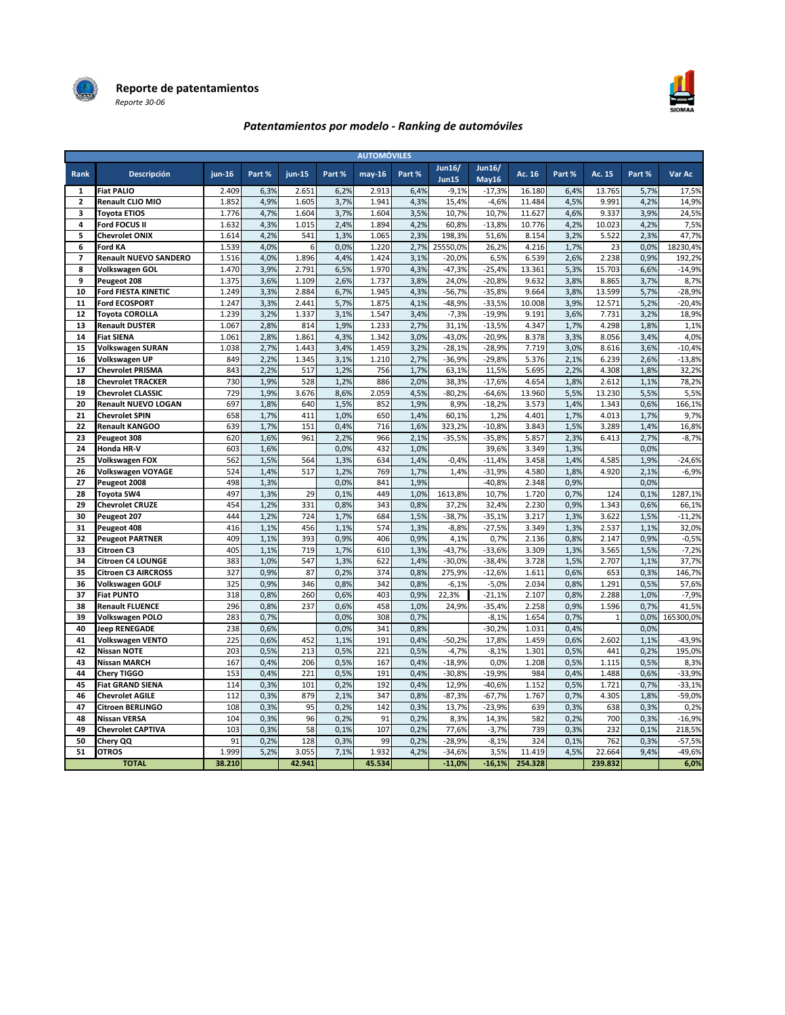



# Patentamientos por modelo - Ranking de automóviles

| <b>AUTOMÓVILES</b> |                              |          |        |          |        |          |        |                        |                        |         |        |              |        |           |
|--------------------|------------------------------|----------|--------|----------|--------|----------|--------|------------------------|------------------------|---------|--------|--------------|--------|-----------|
| <b>Rank</b>        | Descripción                  | $jun-16$ | Part % | $jun-15$ | Part % | $may-16$ | Part % | Jun16/<br><b>Jun15</b> | <b>Jun16/</b><br>Mav16 | Ac. 16  | Part % | Ac. 15       | Part % | Var Ac    |
| 1                  | <b>Fiat PALIO</b>            | 2.409    | 6,3%   | 2.651    | 6,2%   | 2.913    | 6,4%   | $-9,1%$                | $-17,3%$               | 16.180  | 6,4%   | 13.765       | 5,7%   | 17,5%     |
| $\overline{2}$     | Renault CLIO MIO             | 1.852    | 4,9%   | 1.605    | 3,7%   | 1.941    | 4,3%   | 15,4%                  | $-4,6%$                | 11.484  | 4,5%   | 9.991        | 4,2%   | 14,9%     |
| 3                  | <b>Toyota ETIOS</b>          | 1.776    | 4,7%   | 1.604    | 3,7%   | 1.604    | 3,5%   | 10.7%                  | 10,7%                  | 11.627  | 4,6%   | 9.337        | 3,9%   | 24,5%     |
| 4                  | Ford FOCUS II                | 1.632    | 4,3%   | 1.015    | 2,4%   | 1.894    | 4,2%   | 60,8%                  | $-13,8%$               | 10.776  | 4,2%   | 10.023       | 4,2%   | 7,5%      |
| 5                  | <b>Chevrolet ONIX</b>        | 1.614    | 4,2%   | 541      | 1,3%   | 1.065    | 2,3%   | 198,3%                 | 51,6%                  | 8.154   | 3,2%   | 5.522        | 2,3%   | 47,7%     |
| 6                  | Ford KA                      | 1.539    | 4.0%   | 6        | 0,0%   | 1.220    | 2,7%   | 25550,0%               | 26,2%                  | 4.216   | 1,7%   | 23           | 0,0%   | 18230,4%  |
| $\overline{7}$     | <b>Renault NUEVO SANDERO</b> | 1.516    | 4,0%   | 1.896    | 4,4%   | 1.424    | 3,1%   | $-20,0%$               | 6,5%                   | 6.539   | 2,6%   | 2.238        | 0,9%   | 192,2%    |
| 8                  | Volkswagen GOL               | 1.470    | 3.9%   | 2.791    | 6,5%   | 1.970    | 4,3%   | $-47.3%$               | $-25.4%$               | 13.361  | 5,3%   | 15.703       | 6,6%   | $-14,9%$  |
| 9                  | Peugeot 208                  | 1.375    | 3,6%   | 1.109    | 2,6%   | 1.737    | 3,8%   | 24,0%                  | $-20.8%$               | 9.632   | 3,8%   | 8.865        | 3,7%   | 8,7%      |
| 10                 | Ford FIESTA KINETIC          | 1.249    | 3,3%   | 2.884    | 6,7%   | 1.945    | 4,3%   | $-56,7%$               | $-35,8%$               | 9.664   | 3,8%   | 13.599       | 5,7%   | $-28,9%$  |
| 11                 | <b>Ford ECOSPORT</b>         | 1.247    | 3,3%   | 2.441    | 5,7%   | 1.875    | 4,1%   | $-48,9%$               | $-33,5%$               | 10.008  | 3,9%   | 12.571       | 5,2%   | $-20,4%$  |
| 12                 | <b>Toyota COROLLA</b>        | 1.239    | 3,2%   | 1.337    | 3,1%   | 1.547    | 3,4%   | $-7,3%$                | $-19,9%$               | 9.191   | 3,6%   | 7.731        | 3,2%   | 18,9%     |
| 13                 | <b>Renault DUSTER</b>        | 1.067    | 2,8%   | 814      | 1,9%   | 1.233    | 2,7%   | 31,1%                  | $-13,5%$               | 4.347   | 1,7%   | 4.298        | 1,8%   | 1,1%      |
| 14                 | <b>Fiat SIENA</b>            | 1.061    | 2,8%   | 1.861    | 4,3%   | 1.342    | 3,0%   | $-43,0%$               | $-20,9%$               | 8.378   | 3,3%   | 8.056        | 3,4%   | 4,0%      |
| 15                 | <b>Volkswagen SURAN</b>      | 1.038    | 2,7%   | 1.443    | 3,4%   | 1.459    | 3,2%   | $-28,1%$               | $-28,9%$               | 7.719   | 3,0%   | 8.616        | 3,6%   | $-10,4%$  |
| 16                 | Volkswagen UP                | 849      | 2,2%   | 1.345    | 3,1%   | 1.210    | 2,7%   | $-36,9%$               | $-29,8%$               | 5.376   | 2,1%   | 6.239        | 2,6%   | $-13,8%$  |
| 17                 | <b>Chevrolet PRISMA</b>      | 843      | 2,2%   | 517      | 1,2%   | 756      | 1,7%   | 63,1%                  | 11,5%                  | 5.695   | 2,2%   | 4.308        | 1,8%   | 32,2%     |
| 18                 | <b>Chevrolet TRACKER</b>     | 730      | 1,9%   | 528      | 1,2%   | 886      | 2,0%   | 38,3%                  | $-17,6%$               | 4.654   | 1,8%   | 2.612        | 1,1%   | 78,2%     |
| 19                 | <b>Chevrolet CLASSIC</b>     | 729      | 1,9%   | 3.676    | 8,6%   | 2.059    | 4,5%   | $-80,2%$               | $-64,6%$               | 13.960  | 5,5%   | 13.230       | 5,5%   | 5,5%      |
| 20                 | <b>Renault NUEVO LOGAN</b>   | 697      | 1,8%   | 640      | 1,5%   | 852      | 1,9%   | 8,9%                   | $-18,2%$               | 3.573   | 1,4%   | 1.343        | 0,6%   | 166,1%    |
| 21                 | <b>Chevrolet SPIN</b>        | 658      | 1,7%   | 411      | 1,0%   | 650      | 1,4%   | 60,1%                  | 1,2%                   | 4.401   | 1,7%   | 4.013        | 1,7%   | 9,7%      |
| 22                 | <b>Renault KANGOO</b>        | 639      | 1,7%   | 151      | 0,4%   | 716      | 1,6%   | 323,2%                 | $-10,8%$               | 3.843   | 1,5%   | 3.289        | 1,4%   | 16,8%     |
| 23                 | Peugeot 308                  | 620      | 1,6%   | 961      | 2,2%   | 966      | 2,1%   | $-35,5%$               | $-35,8%$               | 5.857   | 2,3%   | 6.413        | 2,7%   | $-8,7%$   |
| 24                 | Honda HR-V                   | 603      | 1,6%   |          | 0,0%   | 432      | 1,0%   |                        | 39,6%                  | 3.349   | 1,3%   |              | 0,0%   |           |
| 25                 | Volkswagen FOX               | 562      | 1,5%   | 564      | 1,3%   | 634      | 1,4%   | $-0,4%$                | $-11,4%$               | 3.458   | 1,4%   | 4.585        | 1,9%   | $-24,6%$  |
| 26                 | <b>Volkswagen VOYAGE</b>     | 524      | 1,4%   | 517      | 1,2%   | 769      | 1,7%   | 1,4%                   | $-31,9%$               | 4.580   | 1,8%   | 4.920        | 2,1%   | $-6,9%$   |
| 27                 | Peugeot 2008                 | 498      | 1,3%   |          | 0,0%   | 841      | 1,9%   |                        | $-40,8%$               | 2.348   | 0,9%   |              | 0,0%   |           |
| 28                 | Toyota SW4                   | 497      | 1,3%   | 29       | 0,1%   | 449      | 1,0%   | 1613,8%                | 10,7%                  | 1.720   | 0,7%   | 124          | 0,1%   | 1287,1%   |
| 29                 | <b>Chevrolet CRUZE</b>       | 454      | 1,2%   | 331      | 0,8%   | 343      | 0,8%   | 37,2%                  | 32,4%                  | 2.230   | 0,9%   | 1.343        | 0,6%   | 66,1%     |
| 30                 | Peugeot 207                  | 444      | 1,2%   | 724      | 1,7%   | 684      | 1,5%   | $-38,7%$               | $-35,1%$               | 3.217   | 1,3%   | 3.622        | 1,5%   | $-11,2%$  |
| 31                 | Peugeot 408                  | 416      | 1,1%   | 456      | 1,1%   | 574      | 1,3%   | $-8.8%$                | $-27,5%$               | 3.349   | 1,3%   | 2.537        | 1,1%   | 32,0%     |
| 32                 | <b>Peugeot PARTNER</b>       | 409      | 1,1%   | 393      | 0,9%   | 406      | 0,9%   | 4,1%                   | 0,7%                   | 2.136   | 0,8%   | 2.147        | 0,9%   | $-0,5%$   |
| 33                 | Citroen C3                   | 405      | 1,1%   | 719      | 1,7%   | 610      | 1,3%   | $-43,7%$               | $-33,6%$               | 3.309   | 1,3%   | 3.565        | 1,5%   | $-7,2%$   |
| 34                 | Citroen C4 LOUNGE            | 383      | 1.0%   | 547      | 1,3%   | 622      | 1,4%   | $-30.0%$               | $-38,4%$               | 3.728   | 1,5%   | 2.707        | 1,1%   | 37,7%     |
| 35                 | <b>Citroen C3 AIRCROSS</b>   | 327      | 0,9%   | 87       | 0,2%   | 374      | 0,8%   | 275,9%                 | $-12,6%$               | 1.611   | 0,6%   | 653          | 0,3%   | 146,7%    |
| 36                 | Volkswagen GOLF              | 325      | 0,9%   | 346      | 0,8%   | 342      | 0,8%   | $-6,1%$                | $-5,0%$                | 2.034   | 0,8%   | 1.291        | 0,5%   | 57,6%     |
| 37                 | <b>Fiat PUNTO</b>            | 318      | 0,8%   | 260      | 0,6%   | 403      | 0,9%   | 22,3%                  | $-21,1%$               | 2.107   | 0,8%   | 2.288        | 1,0%   | $-7,9%$   |
| 38                 | <b>Renault FLUENCE</b>       | 296      | 0,8%   | 237      | 0,6%   | 458      | 1,0%   | 24,9%                  | $-35,4%$               | 2.258   | 0,9%   | 1.596        | 0,7%   | 41,5%     |
| 39                 | <b>Volkswagen POLO</b>       | 283      | 0.7%   |          | 0.0%   | 308      | 0,7%   |                        | $-8,1%$                | 1.654   | 0,7%   | $\mathbf{1}$ | 0,0%   | 165300,0% |
| 40                 | <b>Jeep RENEGADE</b>         | 238      | 0,6%   |          | 0,0%   | 341      | 0,8%   |                        | $-30,2%$               | 1.031   | 0,4%   |              | 0,0%   |           |
| 41                 | <b>Volkswagen VENTO</b>      | 225      | 0,6%   | 452      | 1,1%   | 191      | 0,4%   | $-50,2%$               | 17,8%                  | 1.459   | 0,6%   | 2.602        | 1,1%   | $-43,9%$  |
| 42                 | <b>Nissan NOTE</b>           | 203      | 0,5%   | 213      | 0,5%   | 221      | 0,5%   | $-4,7%$                | $-8,1%$                | 1.301   | 0,5%   | 441          | 0,2%   | 195,0%    |
| 43                 | <b>Nissan MARCH</b>          | 167      | 0,4%   | 206      | 0,5%   | 167      | 0,4%   | $-18,9%$               | 0,0%                   | 1.208   | 0,5%   | 1.115        | 0,5%   | 8,3%      |
| 44                 | <b>Chery TIGGO</b>           | 153      | 0.4%   | 221      | 0,5%   | 191      | 0,4%   | $-30,8%$               | $-19.9%$               | 984     | 0,4%   | 1.488        | 0,6%   | $-33,9%$  |
| 45                 | <b>Fiat GRAND SIENA</b>      | 114      | 0,3%   | 101      | 0,2%   | 192      | 0,4%   | 12,9%                  | $-40,6%$               | 1.152   | 0,5%   | 1.721        | 0,7%   | $-33,1%$  |
| 46                 | <b>Chevrolet AGILE</b>       | 112      | 0,3%   | 879      | 2,1%   | 347      | 0,8%   | $-87,3%$               | $-67,7%$               | 1.767   | 0,7%   | 4.305        | 1,8%   | $-59,0%$  |
| 47                 | Citroen BERLINGO             | 108      | 0,3%   | 95       | 0,2%   | 142      | 0.3%   | 13,7%                  | $-23,9%$               | 639     | 0,3%   | 638          | 0,3%   | 0,2%      |
| 48                 | Nissan VERSA                 | 104      | 0,3%   | 96       | 0,2%   | 91       | 0,2%   | 8,3%                   | 14,3%                  | 582     | 0,2%   | 700          | 0,3%   | $-16,9%$  |
| 49                 | <b>Chevrolet CAPTIVA</b>     | 103      | 0,3%   | 58       | 0,1%   | 107      | 0,2%   | 77,6%                  | $-3,7%$                | 739     | 0,3%   | 232          | 0,1%   | 218,5%    |
| 50                 | Chery QQ                     | 91       | 0,2%   | 128      | 0,3%   | 99       | 0,2%   | $-28,9%$               | $-8,1%$                | 324     | 0,1%   | 762          | 0,3%   | $-57,5%$  |
| 51                 | <b>OTROS</b>                 | 1.999    | 5,2%   | 3.055    | 7,1%   | 1.932    | 4,2%   | $-34,6%$               | 3,5%                   | 11.419  | 4,5%   | 22.664       | 9,4%   | $-49,6%$  |
|                    | <b>TOTAL</b>                 | 38.210   |        | 42.941   |        | 45.534   |        | $-11.0%$               | $-16.1%$               | 254.328 |        | 239.832      |        | 6,0%      |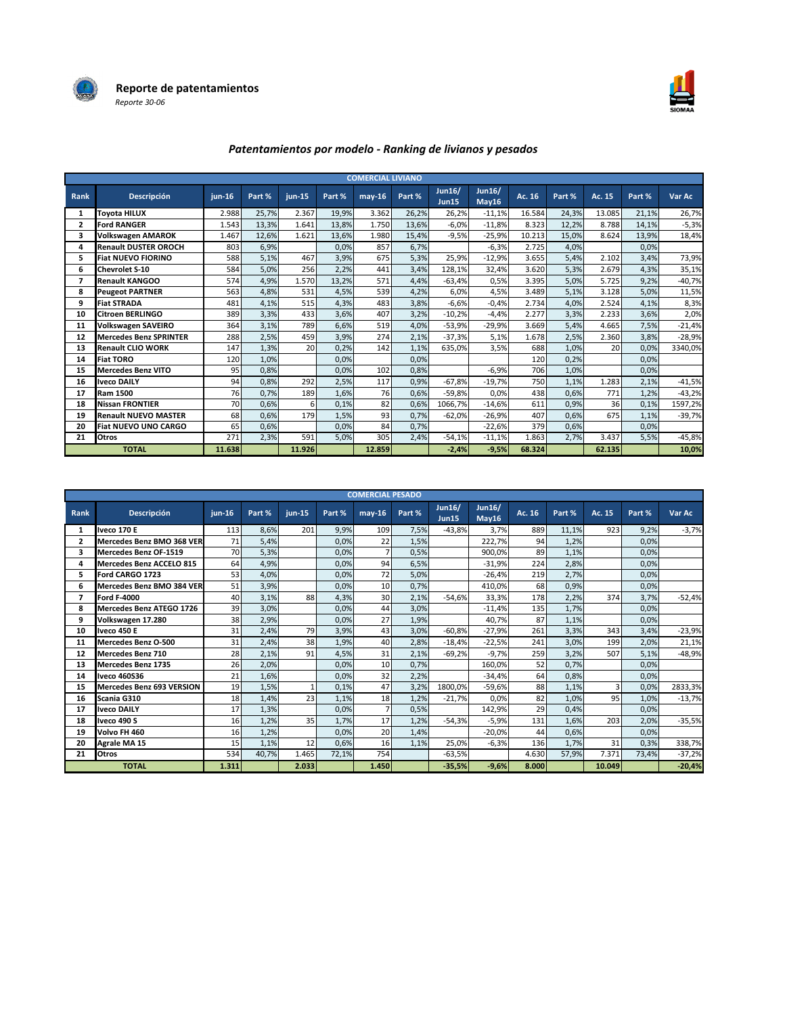



# Patentamientos por modelo - Ranking de livianos y pesados

|      |                               |          |        |          |        | <b>COMERCIAL LIVIANO</b> |        |                               |                        |        |        |        |        |          |
|------|-------------------------------|----------|--------|----------|--------|--------------------------|--------|-------------------------------|------------------------|--------|--------|--------|--------|----------|
| Rank | Descripción                   | $jun-16$ | Part % | $jun-15$ | Part % | $may-16$                 | Part % | <b>Jun16/</b><br><b>Jun15</b> | <b>Jun16/</b><br>May16 | Ac. 16 | Part % | Ac. 15 | Part % | Var Ac   |
| 1    | Toyota HILUX                  | 2.988    | 25,7%  | 2.367    | 19,9%  | 3.362                    | 26,2%  | 26,2%                         | $-11,1%$               | 16.584 | 24,3%  | 13.085 | 21,1%  | 26,7%    |
| 2    | <b>Ford RANGER</b>            | 1.543    | 13,3%  | 1.641    | 13,8%  | 1.750                    | 13,6%  | $-6,0%$                       | $-11,8%$               | 8.323  | 12,2%  | 8.788  | 14,1%  | $-5,3%$  |
| 3    | <b>Volkswagen AMAROK</b>      | 1.467    | 12,6%  | 1.621    | 13,6%  | 1.980                    | 15,4%  | $-9,5%$                       | $-25,9%$               | 10.213 | 15,0%  | 8.624  | 13,9%  | 18,4%    |
| 4    | <b>Renault DUSTER OROCH</b>   | 803      | 6,9%   |          | 0,0%   | 857                      | 6,7%   |                               | $-6,3%$                | 2.725  | 4,0%   |        | 0,0%   |          |
| 5.   | <b>Fiat NUEVO FIORINO</b>     | 588      | 5,1%   | 467      | 3,9%   | 675                      | 5,3%   | 25,9%                         | $-12,9%$               | 3.655  | 5,4%   | 2.102  | 3,4%   | 73,9%    |
| 6    | <b>Chevrolet S-10</b>         | 584      | 5,0%   | 256      | 2,2%   | 441                      | 3,4%   | 128,1%                        | 32,4%                  | 3.620  | 5,3%   | 2.679  | 4,3%   | 35,1%    |
|      | <b>Renault KANGOO</b>         | 574      | 4,9%   | 1.570    | 13,2%  | 571                      | 4,4%   | $-63,4%$                      | 0,5%                   | 3.395  | 5,0%   | 5.725  | 9,2%   | $-40,7%$ |
| 8    | <b>Peugeot PARTNER</b>        | 563      | 4,8%   | 531      | 4,5%   | 539                      | 4,2%   | 6,0%                          | 4,5%                   | 3.489  | 5,1%   | 3.128  | 5,0%   | 11,5%    |
| 9    | <b>Fiat STRADA</b>            | 481      | 4,1%   | 515      | 4,3%   | 483                      | 3,8%   | $-6,6%$                       | $-0.4%$                | 2.734  | 4,0%   | 2.524  | 4,1%   | 8,3%     |
| 10   | <b>Citroen BERLINGO</b>       | 389      | 3,3%   | 433      | 3,6%   | 407                      | 3,2%   | $-10,2%$                      | $-4,4%$                | 2.277  | 3,3%   | 2.233  | 3,6%   | 2,0%     |
| 11   | <b>Volkswagen SAVEIRO</b>     | 364      | 3,1%   | 789      | 6,6%   | 519                      | 4,0%   | $-53,9%$                      | $-29,9%$               | 3.669  | 5,4%   | 4.665  | 7,5%   | $-21,4%$ |
| 12   | <b>Mercedes Benz SPRINTER</b> | 288      | 2,5%   | 459      | 3,9%   | 274                      | 2,1%   | $-37,3%$                      | 5,1%                   | 1.678  | 2,5%   | 2.360  | 3,8%   | $-28,9%$ |
| 13   | <b>Renault CLIO WORK</b>      | 147      | 1,3%   | 20       | 0,2%   | 142                      | 1,1%   | 635,0%                        | 3,5%                   | 688    | 1,0%   | 20     | 0,0%   | 3340,0%  |
| 14   | <b>Fiat TORO</b>              | 120      | 1,0%   |          | 0,0%   |                          | 0,0%   |                               |                        | 120    | 0,2%   |        | 0,0%   |          |
| 15   | <b>Mercedes Benz VITO</b>     | 95       | 0,8%   |          | 0,0%   | 102                      | 0,8%   |                               | $-6,9%$                | 706    | 1,0%   |        | 0,0%   |          |
| 16   | <b>Iveco DAILY</b>            | 94       | 0,8%   | 292      | 2,5%   | 117                      | 0,9%   | $-67,8%$                      | $-19,7%$               | 750    | 1,1%   | 1.283  | 2,1%   | $-41,5%$ |
| 17   | <b>Ram 1500</b>               | 76       | 0,7%   | 189      | 1,6%   | 76                       | 0,6%   | $-59,8%$                      | 0,0%                   | 438    | 0,6%   | 771    | 1,2%   | $-43,2%$ |
| 18   | <b>Nissan FRONTIER</b>        | 70       | 0,6%   | 6        | 0,1%   | 82                       | 0,6%   | 1066,7%                       | $-14,6%$               | 611    | 0,9%   | 36     | 0,1%   | 1597,2%  |
| 19   | <b>Renault NUEVO MASTER</b>   | 68       | 0,6%   | 179      | 1,5%   | 93                       | 0,7%   | $-62,0%$                      | $-26,9%$               | 407    | 0,6%   | 675    | 1,1%   | $-39,7%$ |
| 20   | Fiat NUEVO UNO CARGO          | 65       | 0,6%   |          | 0.0%   | 84                       | 0,7%   |                               | $-22,6%$               | 379    | 0,6%   |        | 0,0%   |          |
| 21   | Otros                         | 271      | 2,3%   | 591      | 5,0%   | 305                      | 2,4%   | $-54,1%$                      | $-11,1%$               | 1.863  | 2,7%   | 3.437  | 5,5%   | $-45,8%$ |
|      | <b>TOTAL</b>                  | 11.638   |        | 11.926   |        | 12.859                   |        | $-2,4%$                       | $-9,5%$                | 68.324 |        | 62.135 |        | 10,0%    |

| <b>COMERCIAL PESADO</b> |                                  |        |        |        |        |          |        |                               |                        |        |        |        |        |          |
|-------------------------|----------------------------------|--------|--------|--------|--------|----------|--------|-------------------------------|------------------------|--------|--------|--------|--------|----------|
| Rank                    | <b>Descripción</b>               | iun-16 | Part % | iun-15 | Part % | $may-16$ | Part % | <b>Jun16/</b><br><b>Jun15</b> | <b>Jun16/</b><br>May16 | Ac. 16 | Part % | Ac. 15 | Part % | Var Ac   |
| 1                       | <b>Iveco 170 E</b>               | 113    | 8,6%   | 201    | 9,9%   | 109      | 7,5%   | $-43,8%$                      | 3,7%                   | 889    | 11,1%  | 923    | 9,2%   | $-3,7%$  |
| $\overline{2}$          | Mercedes Benz BMO 368 VER        | 71     | 5,4%   |        | 0,0%   | 22       | 1,5%   |                               | 222,7%                 | 94     | 1,2%   |        | 0,0%   |          |
| 3                       | Mercedes Benz OF-1519            | 70     | 5,3%   |        | 0,0%   | 7        | 0,5%   |                               | 900,0%                 | 89     | 1,1%   |        | 0,0%   |          |
| 4                       | <b>Mercedes Benz ACCELO 815</b>  | 64     | 4,9%   |        | 0.0%   | 94       | 6,5%   |                               | $-31,9%$               | 224    | 2,8%   |        | 0.0%   |          |
| 5                       | Ford CARGO 1723                  | 53     | 4,0%   |        | 0.0%   | 72       | 5,0%   |                               | $-26,4%$               | 219    | 2,7%   |        | 0,0%   |          |
| 6                       | Mercedes Benz BMO 384 VER        | 51     | 3,9%   |        | 0.0%   | 10       | 0,7%   |                               | 410,0%                 | 68     | 0,9%   |        | 0.0%   |          |
| 7                       | <b>Ford F-4000</b>               | 40     | 3,1%   | 88     | 4,3%   | 30       | 2,1%   | $-54.6%$                      | 33,3%                  | 178    | 2,2%   | 374    | 3,7%   | $-52,4%$ |
| 8                       | Mercedes Benz ATEGO 1726         | 39     | 3.0%   |        | 0.0%   | 44       | 3,0%   |                               | $-11,4%$               | 135    | 1,7%   |        | 0.0%   |          |
| 9                       | Volkswagen 17.280                | 38     | 2,9%   |        | 0.0%   | 27       | 1,9%   |                               | 40.7%                  | 87     | 1,1%   |        | 0,0%   |          |
| 10                      | <b>Iveco 450 E</b>               | 31     | 2,4%   | 79     | 3,9%   | 43       | 3,0%   | $-60,8%$                      | $-27,9%$               | 261    | 3,3%   | 343    | 3.4%   | $-23,9%$ |
| 11                      | Mercedes Benz O-500              | 31     | 2.4%   | 38     | 1,9%   | 40       | 2,8%   | $-18.4%$                      | $-22,5%$               | 241    | 3,0%   | 199    | 2,0%   | 21,1%    |
| 12                      | <b>Mercedes Benz 710</b>         | 28     | 2,1%   | 91     | 4.5%   | 31       | 2,1%   | $-69.2%$                      | $-9,7%$                | 259    | 3,2%   | 507    | 5,1%   | $-48,9%$ |
| 13                      | <b>Mercedes Benz 1735</b>        | 26     | 2,0%   |        | 0,0%   | 10       | 0,7%   |                               | 160.0%                 | 52     | 0,7%   |        | 0.0%   |          |
| 14                      | Iveco 460S36                     | 21     | 1,6%   |        | 0.0%   | 32       | 2,2%   |                               | $-34,4%$               | 64     | 0,8%   |        | 0.0%   |          |
| 15                      | <b>Mercedes Benz 693 VERSION</b> | 19     | 1,5%   |        | 0,1%   | 47       | 3,2%   | 1800.0%                       | $-59,6%$               | 88     | 1,1%   | 3      | 0.0%   | 2833,3%  |
| 16                      | Scania G310                      | 18     | 1,4%   | 23     | 1,1%   | 18       | 1,2%   | $-21.7%$                      | 0,0%                   | 82     | 1,0%   | 95     | 1,0%   | $-13,7%$ |
| 17                      | <b>Iveco DAILY</b>               | 17     | 1,3%   |        | 0.0%   |          | 0,5%   |                               | 142,9%                 | 29     | 0,4%   |        | 0.0%   |          |
| 18                      | Iveco 490 S                      | 16     | 1,2%   | 35     | 1,7%   | 17       | 1,2%   | $-54,3%$                      | $-5,9%$                | 131    | 1,6%   | 203    | 2,0%   | $-35,5%$ |
| 19                      | Volvo FH 460                     | 16     | 1,2%   |        | 0.0%   | 20       | 1,4%   |                               | $-20,0%$               | 44     | 0,6%   |        | 0,0%   |          |
| 20                      | Agrale MA 15                     | 15     | 1,1%   | 12     | 0,6%   | 16       | 1,1%   | 25,0%                         | $-6,3%$                | 136    | 1,7%   | 31     | 0,3%   | 338,7%   |
| 21                      | <b>Otros</b>                     | 534    | 40,7%  | 1.465  | 72,1%  | 754      |        | $-63,5%$                      |                        | 4.630  | 57,9%  | 7.371  | 73,4%  | $-37,2%$ |
|                         | <b>TOTAL</b>                     | 1.311  |        | 2.033  |        | 1.450    |        | $-35,5%$                      | $-9,6%$                | 8.000  |        | 10.049 |        | $-20,4%$ |